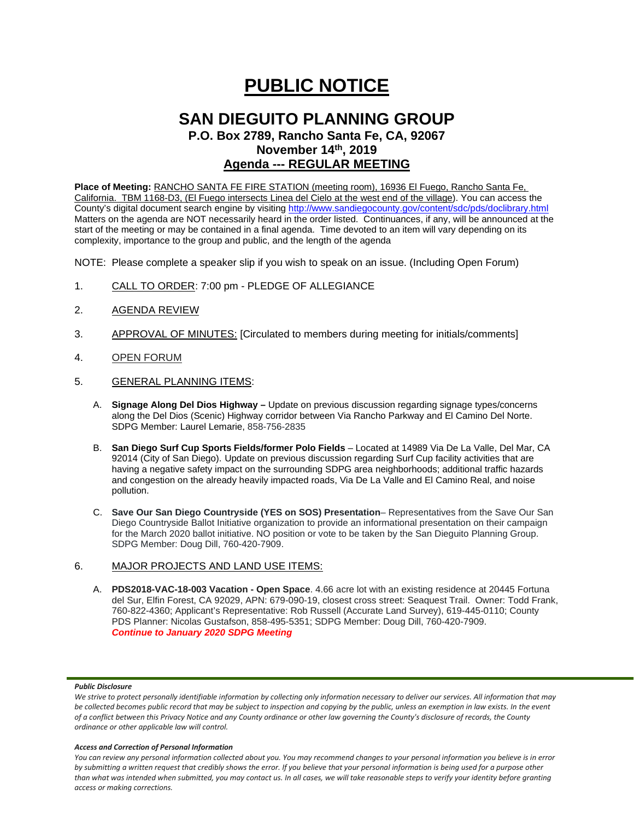# **PUBLIC NOTICE**

## **SAN DIEGUITO PLANNING GROUP**

**P.O. Box 2789, Rancho Santa Fe, CA, 92067 November 14th, 2019**

### **Agenda --- REGULAR MEETING**

**Place of Meeting:** RANCHO SANTA FE FIRE STATION (meeting room), 16936 El Fuego, Rancho Santa Fe, California. TBM 1168-D3, (El Fuego intersects Linea del Cielo at the west end of the village). You can access the County's digital document search engine by visitin[g http://www.sandiegocounty.gov/content/sdc/pds/doclibrary.html](http://www.sandiegocounty.gov/content/sdc/pds/doclibrary.html) Matters on the agenda are NOT necessarily heard in the order listed. Continuances, if any, will be announced at the start of the meeting or may be contained in a final agenda. Time devoted to an item will vary depending on its complexity, importance to the group and public, and the length of the agenda

NOTE: Please complete a speaker slip if you wish to speak on an issue. (Including Open Forum)

- 1. CALL TO ORDER: 7:00 pm PLEDGE OF ALLEGIANCE
- 2. AGENDA REVIEW
- 3. APPROVAL OF MINUTES: [Circulated to members during meeting for initials/comments]
- 4. OPEN FORUM
- 5. GENERAL PLANNING ITEMS:
	- A. **Signage Along Del Dios Highway –** Update on previous discussion regarding signage types/concerns along the Del Dios (Scenic) Highway corridor between Via Rancho Parkway and El Camino Del Norte. SDPG Member: Laurel Lemarie, 858-756-2835
	- B. **San Diego Surf Cup Sports Fields/former Polo Fields** Located at 14989 Via De La Valle, Del Mar, CA 92014 (City of San Diego). Update on previous discussion regarding Surf Cup facility activities that are having a negative safety impact on the surrounding SDPG area neighborhoods; additional traffic hazards and congestion on the already heavily impacted roads, Via De La Valle and El Camino Real, and noise pollution.
	- C. **Save Our San Diego Countryside (YES on SOS) Presentation** Representatives from the Save Our San Diego Countryside Ballot Initiative organization to provide an informational presentation on their campaign for the March 2020 ballot initiative. NO position or vote to be taken by the San Dieguito Planning Group. SDPG Member: Doug Dill, 760-420-7909.

#### 6. MAJOR PROJECTS AND LAND USE ITEMS:

A. **PDS2018-VAC-18-003 Vacation - Open Space**. 4.66 acre lot with an existing residence at 20445 Fortuna del Sur, Elfin Forest, CA 92029, APN: 679-090-19, closest cross street: Seaquest Trail. Owner: Todd Frank, 760-822-4360; Applicant's Representative: Rob Russell (Accurate Land Survey), 619-445-0110; County PDS Planner: Nicolas Gustafson, 858-495-5351; SDPG Member: Doug Dill, 760-420-7909. *Continue to January 2020 SDPG Meeting*

#### *Public Disclosure*

#### *Access and Correction of Personal Information*

*You can review any personal information collected about you. You may recommend changes to your personal information you believe is in error by submitting a written request that credibly shows the error. If you believe that your personal information is being used for a purpose other than what was intended when submitted, you may contact us. In all cases, we will take reasonable steps to verify your identity before granting access or making corrections.*

We strive to protect personally identifiable information by collecting only information necessary to deliver our services. All information that may *be collected becomes public record that may be subject to inspection and copying by the public, unless an exemption in law exists. In the event of a conflict between this Privacy Notice and any County ordinance or other law governing the County's disclosure of records, the County ordinance or other applicable law will control.*